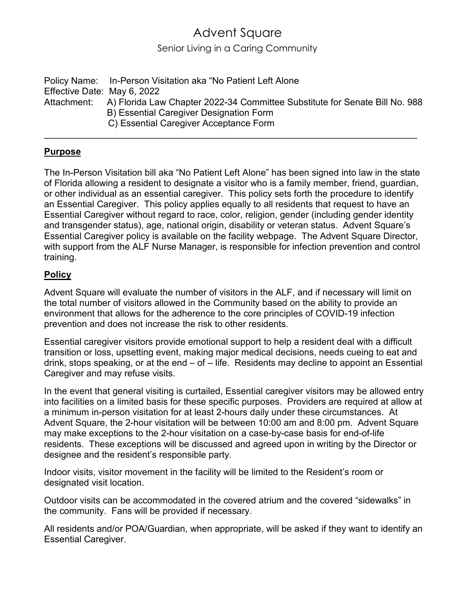## Advent Square

Senior Living in a Caring Community

Policy Name: In-Person Visitation aka "No Patient Left Alone Effective Date: May 6, 2022 Attachment: A) Florida Law Chapter 2022-34 Committee Substitute for Senate Bill No. 988 B) Essential Caregiver Designation Form C) Essential Caregiver Acceptance Form

\_\_\_\_\_\_\_\_\_\_\_\_\_\_\_\_\_\_\_\_\_\_\_\_\_\_\_\_\_\_\_\_\_\_\_\_\_\_\_\_\_\_\_\_\_\_\_\_\_\_\_\_\_\_\_\_\_\_\_\_\_\_\_\_\_\_\_\_\_\_\_\_\_

## **Purpose**

The In-Person Visitation bill aka "No Patient Left Alone" has been signed into law in the state of Florida allowing a resident to designate a visitor who is a family member, friend, guardian, or other individual as an essential caregiver. This policy sets forth the procedure to identify an Essential Caregiver. This policy applies equally to all residents that request to have an Essential Caregiver without regard to race, color, religion, gender (including gender identity and transgender status), age, national origin, disability or veteran status. Advent Square's Essential Caregiver policy is available on the facility webpage. The Advent Square Director, with support from the ALF Nurse Manager, is responsible for infection prevention and control training.

## **Policy**

Advent Square will evaluate the number of visitors in the ALF, and if necessary will limit on the total number of visitors allowed in the Community based on the ability to provide an environment that allows for the adherence to the core principles of COVID-19 infection prevention and does not increase the risk to other residents.

Essential caregiver visitors provide emotional support to help a resident deal with a difficult transition or loss, upsetting event, making major medical decisions, needs cueing to eat and drink, stops speaking, or at the end – of – life. Residents may decline to appoint an Essential Caregiver and may refuse visits.

In the event that general visiting is curtailed, Essential caregiver visitors may be allowed entry into facilities on a limited basis for these specific purposes. Providers are required at allow at a minimum in-person visitation for at least 2-hours daily under these circumstances. At Advent Square, the 2-hour visitation will be between 10:00 am and 8:00 pm. Advent Square may make exceptions to the 2-hour visitation on a case-by-case basis for end-of-life residents. These exceptions will be discussed and agreed upon in writing by the Director or designee and the resident's responsible party.

Indoor visits, visitor movement in the facility will be limited to the Resident's room or designated visit location.

Outdoor visits can be accommodated in the covered atrium and the covered "sidewalks" in the community. Fans will be provided if necessary.

All residents and/or POA/Guardian, when appropriate, will be asked if they want to identify an Essential Caregiver.